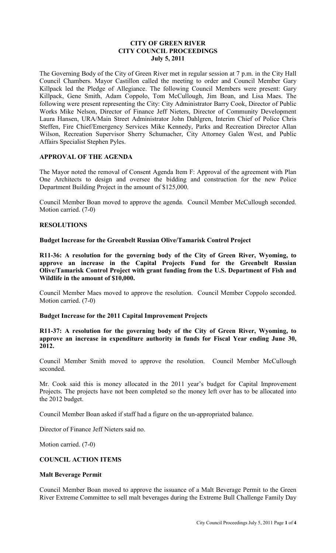## **CITY OF GREEN RIVER CITY COUNCIL PROCEEDINGS July 5, 2011**

The Governing Body of the City of Green River met in regular session at 7 p.m. in the City Hall Council Chambers. Mayor Castillon called the meeting to order and Council Member Gary Killpack led the Pledge of Allegiance. The following Council Members were present: Gary Killpack, Gene Smith, Adam Coppolo, Tom McCullough, Jim Boan, and Lisa Maes. The following were present representing the City: City Administrator Barry Cook, Director of Public Works Mike Nelson, Director of Finance Jeff Nieters, Director of Community Development Laura Hansen, URA/Main Street Administrator John Dahlgren, Interim Chief of Police Chris Steffen, Fire Chief/Emergency Services Mike Kennedy, Parks and Recreation Director Allan Wilson, Recreation Supervisor Sherry Schumacher, City Attorney Galen West, and Public Affairs Specialist Stephen Pyles.

## **APPROVAL OF THE AGENDA**

The Mayor noted the removal of Consent Agenda Item F: Approval of the agreement with Plan One Architects to design and oversee the bidding and construction for the new Police Department Building Project in the amount of \$125,000.

Council Member Boan moved to approve the agenda. Council Member McCullough seconded. Motion carried. (7-0)

#### **RESOLUTIONS**

**Budget Increase for the Greenbelt Russian Olive/Tamarisk Control Project** 

**R11-36: A resolution for the governing body of the City of Green River, Wyoming, to approve an increase in the Capital Projects Fund for the Greenbelt Russian Olive/Tamarisk Control Project with grant funding from the U.S. Department of Fish and Wildlife in the amount of \$10,000.**

Council Member Maes moved to approve the resolution. Council Member Coppolo seconded. Motion carried. (7-0)

## **Budget Increase for the 2011 Capital Improvement Projects**

**R11-37: A resolution for the governing body of the City of Green River, Wyoming, to approve an increase in expenditure authority in funds for Fiscal Year ending June 30, 2012.**

Council Member Smith moved to approve the resolution. Council Member McCullough seconded.

Mr. Cook said this is money allocated in the 2011 year's budget for Capital Improvement Projects. The projects have not been completed so the money left over has to be allocated into the 2012 budget.

Council Member Boan asked if staff had a figure on the un-appropriated balance.

Director of Finance Jeff Nieters said no.

Motion carried. (7-0)

# **COUNCIL ACTION ITEMS**

#### **Malt Beverage Permit**

Council Member Boan moved to approve the issuance of a Malt Beverage Permit to the Green River Extreme Committee to sell malt beverages during the Extreme Bull Challenge Family Day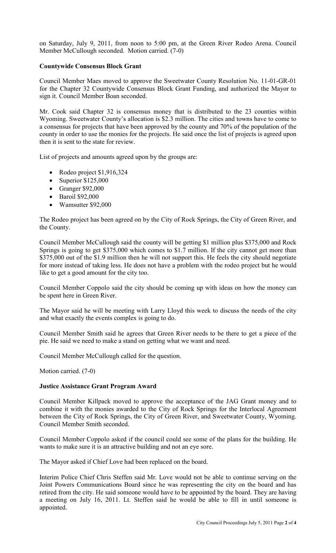on Saturday, July 9, 2011, from noon to 5:00 pm, at the Green River Rodeo Arena. Council Member McCullough seconded. Motion carried. (7-0)

## **Countywide Consensus Block Grant**

Council Member Maes moved to approve the Sweetwater County Resolution No. 11-01-GR-01 for the Chapter 32 Countywide Consensus Block Grant Funding, and authorized the Mayor to sign it. Council Member Boan seconded.

Mr. Cook said Chapter 32 is consensus money that is distributed to the 23 counties within Wyoming. Sweetwater County's allocation is \$2.3 million. The cities and towns have to come to a consensus for projects that have been approved by the county and 70% of the population of the county in order to use the monies for the projects. He said once the list of projects is agreed upon then it is sent to the state for review.

List of projects and amounts agreed upon by the groups are:

- Rodeo project \$1,916,324
- Superior  $$125,000$
- Granger \$92,000
- Baroil \$92,000
- Wamsutter \$92,000

The Rodeo project has been agreed on by the City of Rock Springs, the City of Green River, and the County.

Council Member McCullough said the county will be getting \$1 million plus \$375,000 and Rock Springs is going to get \$375,000 which comes to \$1.7 million. If the city cannot get more than \$375,000 out of the \$1.9 million then he will not support this. He feels the city should negotiate for more instead of taking less. He does not have a problem with the rodeo project but he would like to get a good amount for the city too.

Council Member Coppolo said the city should be coming up with ideas on how the money can be spent here in Green River.

The Mayor said he will be meeting with Larry Lloyd this week to discuss the needs of the city and what exactly the events complex is going to do.

Council Member Smith said he agrees that Green River needs to be there to get a piece of the pie. He said we need to make a stand on getting what we want and need.

Council Member McCullough called for the question.

Motion carried. (7-0)

## **Justice Assistance Grant Program Award**

Council Member Killpack moved to approve the acceptance of the JAG Grant money and to combine it with the monies awarded to the City of Rock Springs for the Interlocal Agreement between the City of Rock Springs, the City of Green River, and Sweetwater County, Wyoming. Council Member Smith seconded.

Council Member Coppolo asked if the council could see some of the plans for the building. He wants to make sure it is an attractive building and not an eye sore.

The Mayor asked if Chief Love had been replaced on the board.

Interim Police Chief Chris Steffen said Mr. Love would not be able to continue serving on the Joint Powers Communications Board since he was representing the city on the board and has retired from the city. He said someone would have to be appointed by the board. They are having a meeting on July 16, 2011. Lt. Steffen said he would be able to fill in until someone is appointed.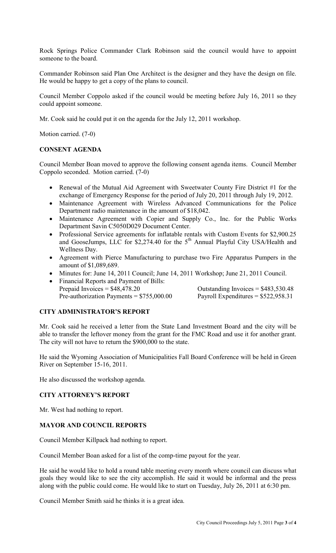Rock Springs Police Commander Clark Robinson said the council would have to appoint someone to the board.

Commander Robinson said Plan One Architect is the designer and they have the design on file. He would be happy to get a copy of the plans to council.

Council Member Coppolo asked if the council would be meeting before July 16, 2011 so they could appoint someone.

Mr. Cook said he could put it on the agenda for the July 12, 2011 workshop.

Motion carried. (7-0)

#### **CONSENT AGENDA**

Council Member Boan moved to approve the following consent agenda items. Council Member Coppolo seconded. Motion carried. (7-0)

- Renewal of the Mutual Aid Agreement with Sweetwater County Fire District #1 for the exchange of Emergency Response for the period of July 20, 2011 through July 19, 2012.
- Maintenance Agreement with Wireless Advanced Communications for the Police Department radio maintenance in the amount of \$18,042.
- Maintenance Agreement with Copier and Supply Co., Inc. for the Public Works Department Savin C5050D029 Document Center.
- Professional Service agreements for inflatable rentals with Custom Events for \$2,900.25 and GooseJumps, LLC for \$2,274.40 for the  $5<sup>th</sup>$  Annual Playful City USA/Health and Wellness Day.
- Agreement with Pierce Manufacturing to purchase two Fire Apparatus Pumpers in the amount of \$1,089,689.
- Minutes for: June 14, 2011 Council; June 14, 2011 Workshop; June 21, 2011 Council.
- Financial Reports and Payment of Bills: Prepaid Invoices = \$48,478.20 Outstanding Invoices = \$483,530.48 Pre-authorization Payments =  $$755,000.00$  Payroll Expenditures =  $$522,958.31$

## **CITY ADMINISTRATOR'S REPORT**

Mr. Cook said he received a letter from the State Land Investment Board and the city will be able to transfer the leftover money from the grant for the FMC Road and use it for another grant. The city will not have to return the \$900,000 to the state.

He said the Wyoming Association of Municipalities Fall Board Conference will be held in Green River on September 15-16, 2011.

He also discussed the workshop agenda.

## **CITY ATTORNEY'S REPORT**

Mr. West had nothing to report.

## **MAYOR AND COUNCIL REPORTS**

Council Member Killpack had nothing to report.

Council Member Boan asked for a list of the comp-time payout for the year.

He said he would like to hold a round table meeting every month where council can discuss what goals they would like to see the city accomplish. He said it would be informal and the press along with the public could come. He would like to start on Tuesday, July 26, 2011 at 6:30 pm.

Council Member Smith said he thinks it is a great idea.